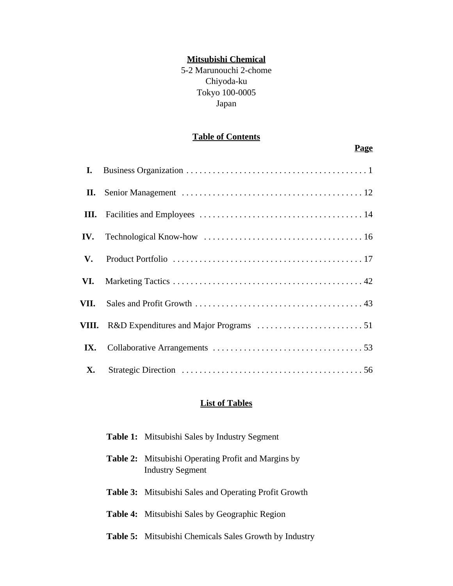## **Mitsubishi Chemical**

5-2 Marunouchi 2-chome Chiyoda-ku Tokyo 100-0005 Japan

## **Table of Contents**

## **Page**

| I.        |  |
|-----------|--|
|           |  |
|           |  |
|           |  |
|           |  |
|           |  |
|           |  |
|           |  |
|           |  |
| <b>X.</b> |  |

## **List of Tables**

| <b>Table 1:</b> Mitsubishi Sales by Industry Segment                                  |
|---------------------------------------------------------------------------------------|
| <b>Table 2:</b> Mitsubishi Operating Profit and Margins by<br><b>Industry Segment</b> |
| <b>Table 3:</b> Mitsubishi Sales and Operating Profit Growth                          |
| <b>Table 4:</b> Mitsubishi Sales by Geographic Region                                 |
| <b>Table 5:</b> Mitsubishi Chemicals Sales Growth by Industry                         |